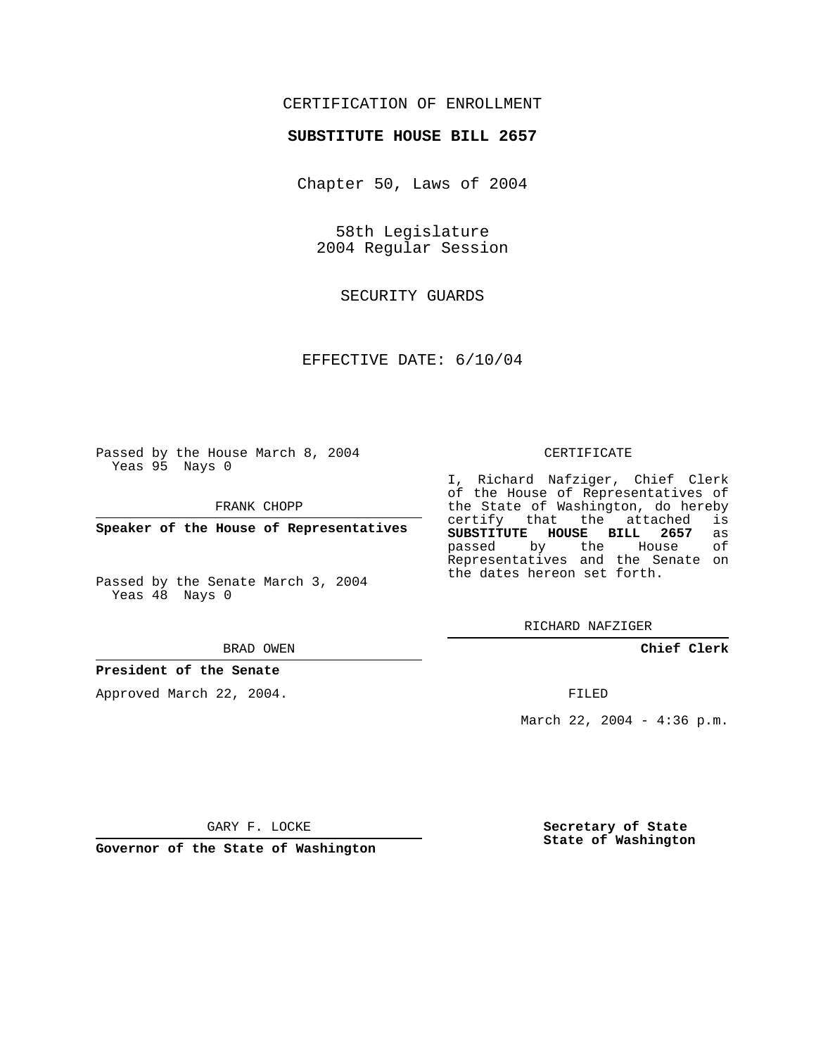## CERTIFICATION OF ENROLLMENT

### **SUBSTITUTE HOUSE BILL 2657**

Chapter 50, Laws of 2004

58th Legislature 2004 Regular Session

SECURITY GUARDS

EFFECTIVE DATE: 6/10/04

Passed by the House March 8, 2004 Yeas 95 Nays 0

FRANK CHOPP

**Speaker of the House of Representatives**

Passed by the Senate March 3, 2004 Yeas 48 Nays 0

#### BRAD OWEN

### **President of the Senate**

Approved March 22, 2004.

#### CERTIFICATE

I, Richard Nafziger, Chief Clerk of the House of Representatives of the State of Washington, do hereby<br>certify that the attached is certify that the attached is<br>SUBSTITUTE HOUSE BILL 2657 as **SUBSTITUTE HOUSE BILL 2657** as passed by the House Representatives and the Senate on the dates hereon set forth.

RICHARD NAFZIGER

**Chief Clerk**

FILED

March 22, 2004 - 4:36 p.m.

GARY F. LOCKE

**Governor of the State of Washington**

**Secretary of State State of Washington**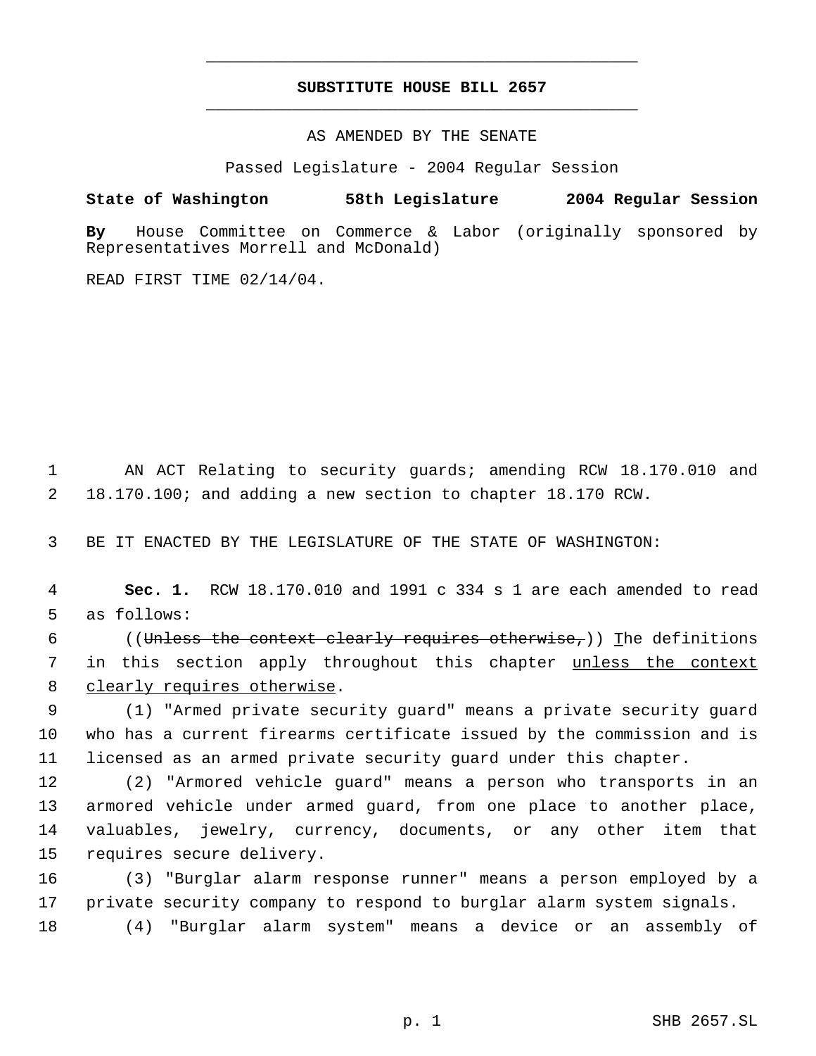# **SUBSTITUTE HOUSE BILL 2657** \_\_\_\_\_\_\_\_\_\_\_\_\_\_\_\_\_\_\_\_\_\_\_\_\_\_\_\_\_\_\_\_\_\_\_\_\_\_\_\_\_\_\_\_\_

\_\_\_\_\_\_\_\_\_\_\_\_\_\_\_\_\_\_\_\_\_\_\_\_\_\_\_\_\_\_\_\_\_\_\_\_\_\_\_\_\_\_\_\_\_

AS AMENDED BY THE SENATE

Passed Legislature - 2004 Regular Session

**State of Washington 58th Legislature 2004 Regular Session**

**By** House Committee on Commerce & Labor (originally sponsored by Representatives Morrell and McDonald)

READ FIRST TIME 02/14/04.

 1 AN ACT Relating to security guards; amending RCW 18.170.010 and 2 18.170.100; and adding a new section to chapter 18.170 RCW.

3 BE IT ENACTED BY THE LEGISLATURE OF THE STATE OF WASHINGTON:

 4 **Sec. 1.** RCW 18.170.010 and 1991 c 334 s 1 are each amended to read 5 as follows:

6 ((Unless the context clearly requires otherwise,)) The definitions 7 in this section apply throughout this chapter unless the context 8 clearly requires otherwise.

 9 (1) "Armed private security guard" means a private security guard 10 who has a current firearms certificate issued by the commission and is 11 licensed as an armed private security guard under this chapter.

 (2) "Armored vehicle guard" means a person who transports in an armored vehicle under armed guard, from one place to another place, valuables, jewelry, currency, documents, or any other item that requires secure delivery.

16 (3) "Burglar alarm response runner" means a person employed by a 17 private security company to respond to burglar alarm system signals.

18 (4) "Burglar alarm system" means a device or an assembly of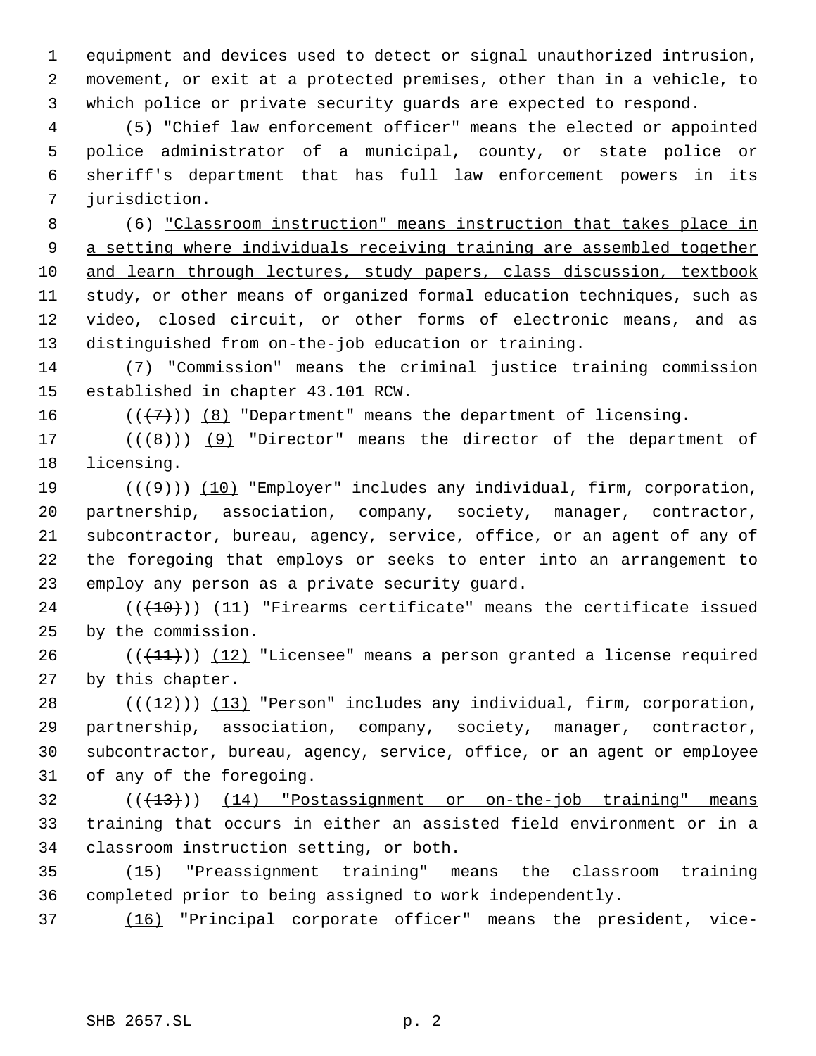equipment and devices used to detect or signal unauthorized intrusion, movement, or exit at a protected premises, other than in a vehicle, to which police or private security guards are expected to respond.

 (5) "Chief law enforcement officer" means the elected or appointed police administrator of a municipal, county, or state police or sheriff's department that has full law enforcement powers in its jurisdiction.

 (6) "Classroom instruction" means instruction that takes place in 9 a setting where individuals receiving training are assembled together 10 and learn through lectures, study papers, class discussion, textbook study, or other means of organized formal education techniques, such as 12 video, closed circuit, or other forms of electronic means, and as distinguished from on-the-job education or training.

 (7) "Commission" means the criminal justice training commission established in chapter 43.101 RCW.

16  $((\langle 7 \rangle)(8)$  "Department" means the department of licensing.

17  $((+8))$  (9) "Director" means the director of the department of licensing.

 $((+9))$   $(10)$  "Employer" includes any individual, firm, corporation, partnership, association, company, society, manager, contractor, subcontractor, bureau, agency, service, office, or an agent of any of the foregoing that employs or seeks to enter into an arrangement to employ any person as a private security guard.

24  $((+10))$   $(11)$  "Firearms certificate" means the certificate issued by the commission.

 $((+11))$   $(12)$  "Licensee" means a person granted a license required by this chapter.

 $((+12))$   $(13)$  "Person" includes any individual, firm, corporation, partnership, association, company, society, manager, contractor, subcontractor, bureau, agency, service, office, or an agent or employee of any of the foregoing.

 ( $(\overline{+13})$ ) (14) "Postassignment or on-the-job training" means training that occurs in either an assisted field environment or in a classroom instruction setting, or both.

 (15) "Preassignment training" means the classroom training completed prior to being assigned to work independently.

(16) "Principal corporate officer" means the president, vice-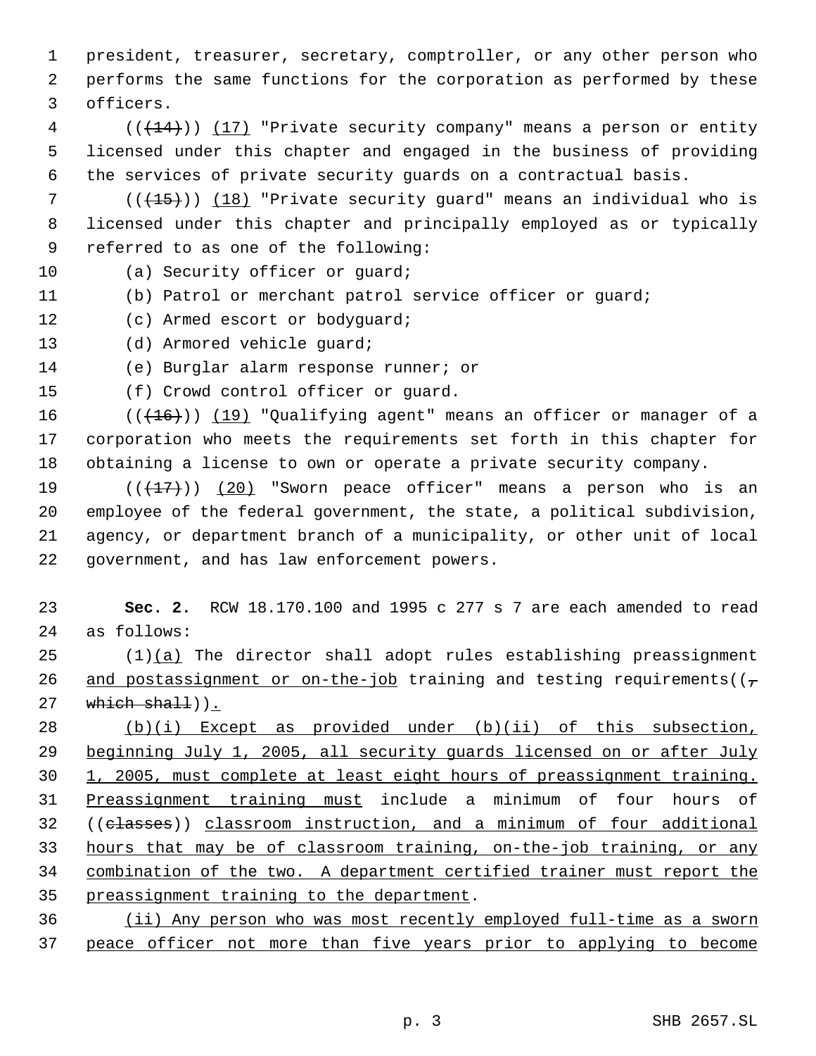president, treasurer, secretary, comptroller, or any other person who performs the same functions for the corporation as performed by these officers.

 (( $\left(\frac{14}{11}\right)$ ) (17) "Private security company" means a person or entity licensed under this chapter and engaged in the business of providing the services of private security guards on a contractual basis.

7 ( $(\overline{+15})$ ) (18) "Private security quard" means an individual who is licensed under this chapter and principally employed as or typically referred to as one of the following:

10 (a) Security officer or quard;

- (b) Patrol or merchant patrol service officer or guard;
- (c) Armed escort or bodyguard;
- (d) Armored vehicle guard;

(e) Burglar alarm response runner; or

(f) Crowd control officer or guard.

16 (( $(16)$ )) (19) "Qualifying agent" means an officer or manager of a corporation who meets the requirements set forth in this chapter for obtaining a license to own or operate a private security company.

 $((+17))$   $(20)$  "Sworn peace officer" means a person who is an employee of the federal government, the state, a political subdivision, agency, or department branch of a municipality, or other unit of local government, and has law enforcement powers.

 **Sec. 2.** RCW 18.170.100 and 1995 c 277 s 7 are each amended to read as follows:

 (1)(a) The director shall adopt rules establishing preassignment 26 and postassignment or on-the-job training and testing requirements( $(\tau$ which shall)).

 (b)(i) Except as provided under (b)(ii) of this subsection, beginning July 1, 2005, all security guards licensed on or after July 1, 2005, must complete at least eight hours of preassignment training. Preassignment training must include a minimum of four hours of ((classes)) classroom instruction, and a minimum of four additional hours that may be of classroom training, on-the-job training, or any combination of the two. A department certified trainer must report the preassignment training to the department.

 (ii) Any person who was most recently employed full-time as a sworn peace officer not more than five years prior to applying to become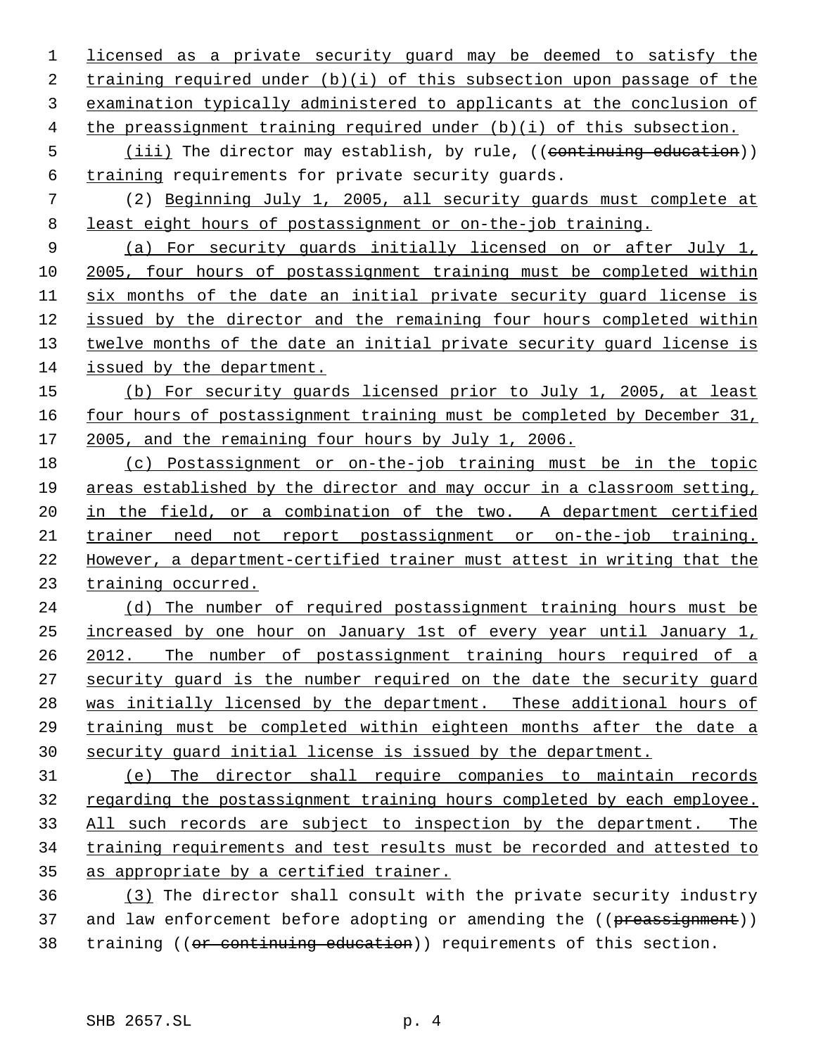licensed as a private security guard may be deemed to satisfy the training required under (b)(i) of this subsection upon passage of the examination typically administered to applicants at the conclusion of the preassignment training required under (b)(i) of this subsection. 5 (iii) The director may establish, by rule, ((continuing education)) training requirements for private security guards. (2) Beginning July 1, 2005, all security guards must complete at least eight hours of postassignment or on-the-job training. (a) For security guards initially licensed on or after July 1, 2005, four hours of postassignment training must be completed within six months of the date an initial private security guard license is issued by the director and the remaining four hours completed within 13 twelve months of the date an initial private security guard license is issued by the department. (b) For security guards licensed prior to July 1, 2005, at least 16 four hours of postassignment training must be completed by December 31, 2005, and the remaining four hours by July 1, 2006. (c) Postassignment or on-the-job training must be in the topic areas established by the director and may occur in a classroom setting, in the field, or a combination of the two. A department certified trainer need not report postassignment or on-the-job training. However, a department-certified trainer must attest in writing that the training occurred. (d) The number of required postassignment training hours must be increased by one hour on January 1st of every year until January 1, 2012. The number of postassignment training hours required of a security guard is the number required on the date the security guard was initially licensed by the department. These additional hours of training must be completed within eighteen months after the date a security guard initial license is issued by the department. (e) The director shall require companies to maintain records regarding the postassignment training hours completed by each employee. All such records are subject to inspection by the department. The training requirements and test results must be recorded and attested to as appropriate by a certified trainer. (3) The director shall consult with the private security industry 37 and law enforcement before adopting or amending the ((preassignment)) 38 training ((or continuing education)) requirements of this section.